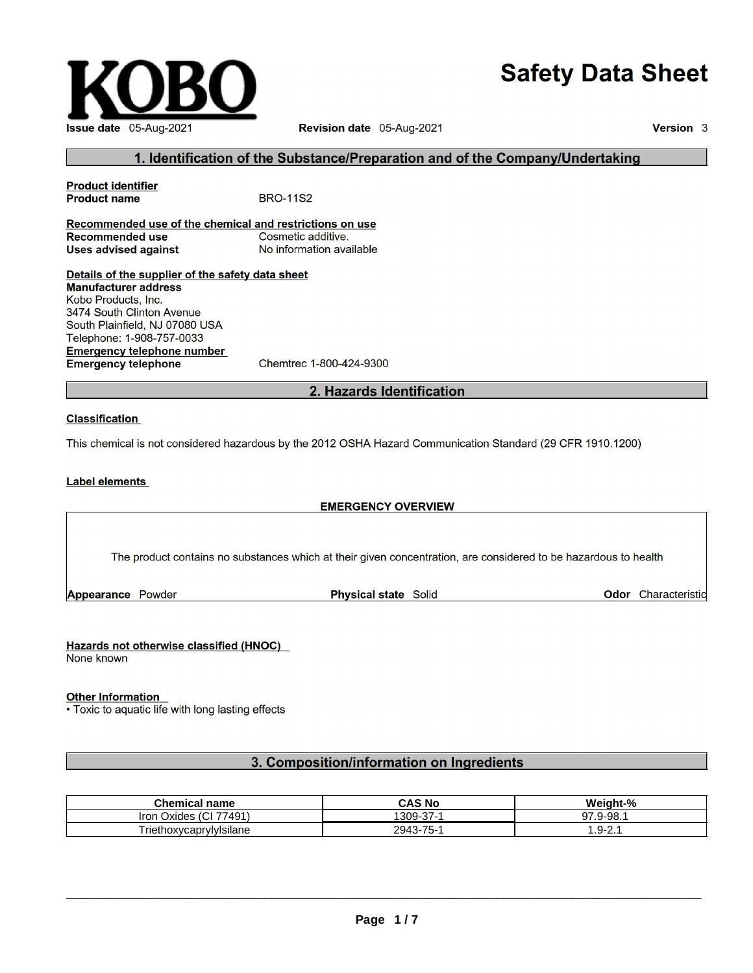# **Safety Data Sheet**



Revision date 05-Aug-2021

Version 3

### 1. Identification of the Substance/Preparation and of the Company/Undertaking

**Product identifier Product name BRO-11S2** Recommended use of the chemical and restrictions on use **Recommended use** Cosmetic additive. **Uses advised against** No information available Details of the supplier of the safety data sheet **Manufacturer address** Kobo Products, Inc. 3474 South Clinton Avenue South Plainfield, NJ 07080 USA Telephone: 1-908-757-0033 **Emergency telephone number Emergency telephone** 

Chemtrec 1-800-424-9300

### 2. Hazards Identification

#### **Classification**

This chemical is not considered hazardous by the 2012 OSHA Hazard Communication Standard (29 CFR 1910.1200)

#### **Label elements**

#### **EMERGENCY OVERVIEW**

The product contains no substances which at their given concentration, are considered to be hazardous to health

Appearance Powder

Physical state Solid

**Odor** Characteristic

#### Hazards not otherwise classified (HNOC)

None known

#### **Other Information**

• Toxic to aquatic life with long lasting effects

### 3. Composition/information on Ingredients

| <b>Chemical name</b>                                | <b>CAS No</b>             | Weight-%                       |
|-----------------------------------------------------|---------------------------|--------------------------------|
| $\sim$<br>77491)<br><b>Iron</b><br>Oxides<br>$\sim$ | $\sim$<br>1309-<br>- ، ن- | $^{\prime}$ .9-98. $^{\prime}$ |
| Triethoxycaprylylsilane                             | 2943-75-                  | $\sim$                         |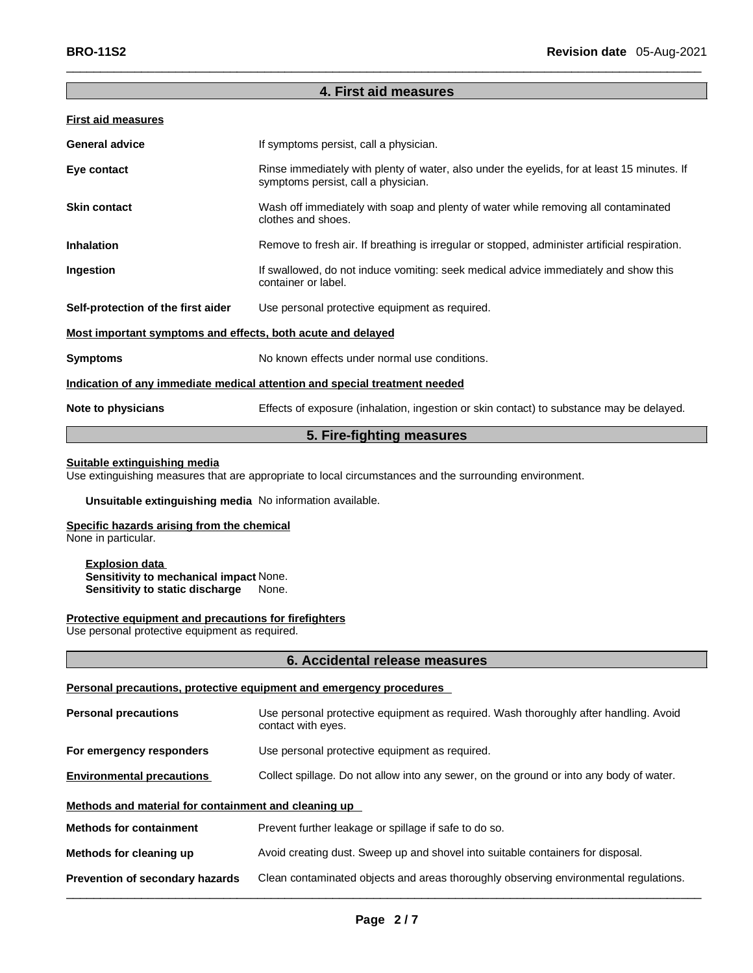### **4. First aid measures**

 $\Box$ 

| <b>First aid measures</b>                                                  |                                                                                                                                    |  |
|----------------------------------------------------------------------------|------------------------------------------------------------------------------------------------------------------------------------|--|
| <b>General advice</b>                                                      | If symptoms persist, call a physician.                                                                                             |  |
| Eye contact                                                                | Rinse immediately with plenty of water, also under the eyelids, for at least 15 minutes. If<br>symptoms persist, call a physician. |  |
| <b>Skin contact</b>                                                        | Wash off immediately with soap and plenty of water while removing all contaminated<br>clothes and shoes.                           |  |
| <b>Inhalation</b>                                                          | Remove to fresh air. If breathing is irregular or stopped, administer artificial respiration.                                      |  |
| Ingestion                                                                  | If swallowed, do not induce vomiting: seek medical advice immediately and show this<br>container or label.                         |  |
| Self-protection of the first aider                                         | Use personal protective equipment as required.                                                                                     |  |
| Most important symptoms and effects, both acute and delayed                |                                                                                                                                    |  |
| <b>Symptoms</b>                                                            | No known effects under normal use conditions.                                                                                      |  |
| Indication of any immediate medical attention and special treatment needed |                                                                                                                                    |  |
| Note to physicians                                                         | Effects of exposure (inhalation, ingestion or skin contact) to substance may be delayed.                                           |  |
| 5. Fire-fighting measures                                                  |                                                                                                                                    |  |

#### **Suitable extinguishing media**

Use extinguishing measures that are appropriate to local circumstances and the surrounding environment.

**Unsuitable extinguishing media** No information available.

### **Specific hazards arising from the chemical**

None in particular.

#### **Explosion data Sensitivity to mechanical impact** None. **Sensitivity to static discharge** None.

#### **Protective equipment and precautions for firefighters**

Use personal protective equipment as required.

#### **6. Accidental release measures**

### **Personal precautions, protective equipment and emergency procedures**

| <b>Personal precautions</b>                          | Use personal protective equipment as required. Wash thoroughly after handling. Avoid<br>contact with eyes. |
|------------------------------------------------------|------------------------------------------------------------------------------------------------------------|
| For emergency responders                             | Use personal protective equipment as required.                                                             |
| <b>Environmental precautions</b>                     | Collect spillage. Do not allow into any sewer, on the ground or into any body of water.                    |
| Methods and material for containment and cleaning up |                                                                                                            |
| <b>Methods for containment</b>                       | Prevent further leakage or spillage if safe to do so.                                                      |
| Methods for cleaning up                              | Avoid creating dust. Sweep up and shovel into suitable containers for disposal.                            |
| Prevention of secondary hazards                      | Clean contaminated objects and areas thoroughly observing environmental regulations.                       |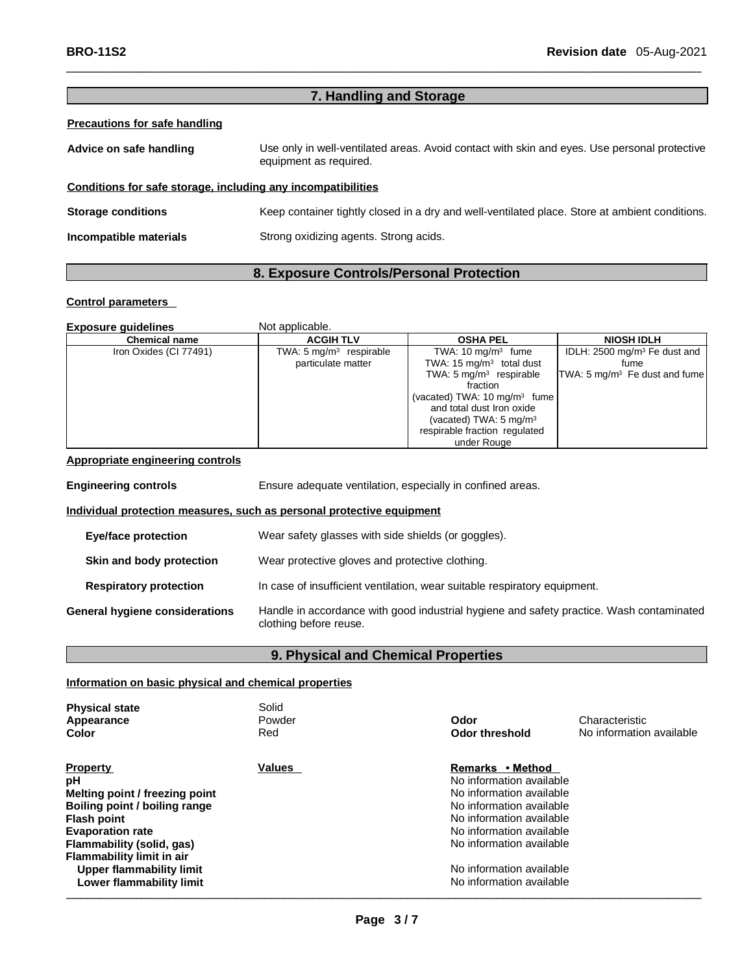### **7. Handling and Storage**

 $\Box$ 

#### **Precautions for safe handling**

| Advice on safe handling                                      | Use only in well-ventilated areas. Avoid contact with skin and eyes. Use personal protective<br>equipment as required. |  |
|--------------------------------------------------------------|------------------------------------------------------------------------------------------------------------------------|--|
| Conditions for safe storage, including any incompatibilities |                                                                                                                        |  |
| <b>Storage conditions</b>                                    | Keep container tightly closed in a dry and well-ventilated place. Store at ambient conditions.                         |  |
| Incompatible materials                                       | Strong oxidizing agents. Strong acids.                                                                                 |  |

### **8. Exposure Controls/Personal Protection**

#### **Control parameters**

| <b>Exposure quidelines</b> | Not applicable.                    |                                         |                                          |
|----------------------------|------------------------------------|-----------------------------------------|------------------------------------------|
| <b>Chemical name</b>       | <b>ACGIH TLV</b>                   | <b>OSHA PEL</b>                         | <b>NIOSH IDLH</b>                        |
| Iron Oxides (CI 77491)     | TWA: $5 \text{ mg/m}^3$ respirable | TWA: $10 \text{ mg/m}^3$ fume           | IDLH: 2500 mg/m <sup>3</sup> Fe dust and |
|                            | particulate matter                 | TWA: $15 \text{ mg/m}^3$ total dust     | fume                                     |
|                            |                                    | TWA: $5 \text{ mg/m}^3$ respirable      | TWA: $5 \text{ mg/m}^3$ Fe dust and fume |
|                            |                                    | fraction                                |                                          |
|                            |                                    | (vacated) TWA: $10 \text{ mg/m}^3$ fume |                                          |
|                            |                                    | and total dust Iron oxide               |                                          |
|                            |                                    | (vacated) TWA: $5 \text{ mg/m}^3$       |                                          |
|                            |                                    | respirable fraction regulated           |                                          |
|                            |                                    | under Rouge                             |                                          |

#### **Appropriate engineering controls**

**Engineering controls** Ensure adequate ventilation, especially in confined areas. **Individual protection measures, such as personal protective equipment Eye/face protection** Wear safety glasses with side shields (or goggles). **Skin and body protection** Wear protective gloves and protective clothing. **Respiratory protection** In case of insufficient ventilation, wear suitable respiratory equipment. **General hygiene considerations** Handle in accordance with good industrial hygiene and safety practice. Wash contaminated clothing before reuse.

#### **9. Physical and Chemical Properties**

### **Information on basic physical and chemical properties**

| <b>Physical state</b><br>Appearance<br>Color                                                                                                                                                                                                                | Solid<br>Powder<br>Red | Odor<br>Odor threshold                                                                                                                                                                                                                           | Characteristic<br>No information available |
|-------------------------------------------------------------------------------------------------------------------------------------------------------------------------------------------------------------------------------------------------------------|------------------------|--------------------------------------------------------------------------------------------------------------------------------------------------------------------------------------------------------------------------------------------------|--------------------------------------------|
| <b>Property</b><br>рH<br>Melting point / freezing point<br>Boiling point / boiling range<br><b>Flash point</b><br><b>Evaporation rate</b><br>Flammability (solid, gas)<br>Flammability limit in air<br>Upper flammability limit<br>Lower flammability limit | <b>Values</b>          | Remarks • Method<br>No information available<br>No information available<br>No information available<br>No information available<br>No information available<br>No information available<br>No information available<br>No information available |                                            |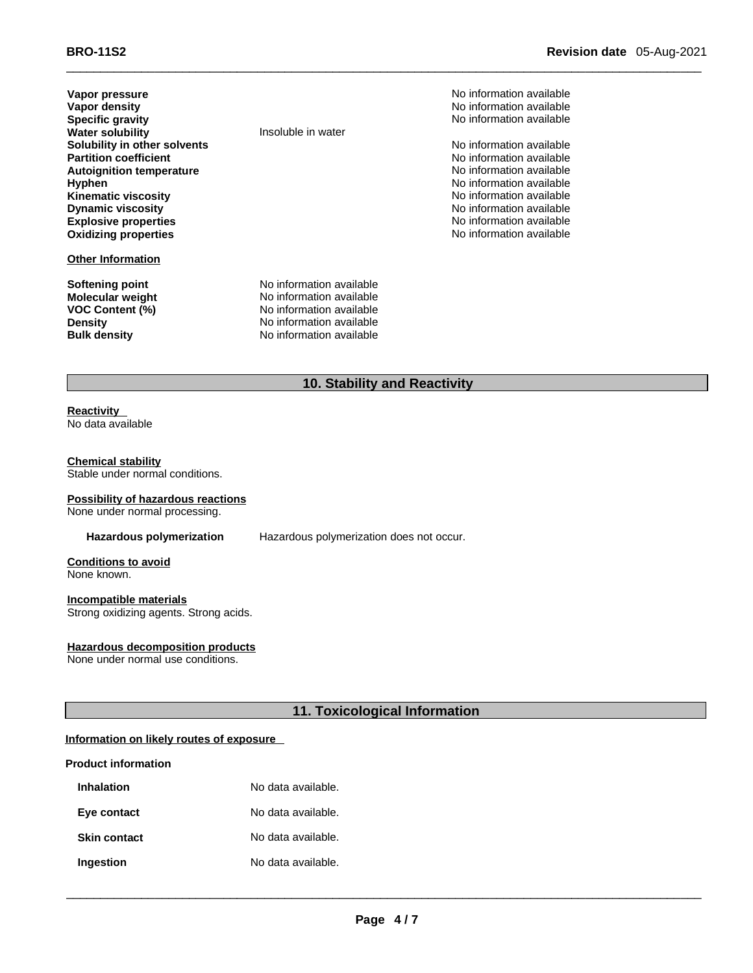**Vapor pressure** Noinformation available **Note that the Contract of the Contract of the View Available Vapor density No information available No information available Specific gravity No information available Notificate that the set of the set of the set of the set of the set of the set of the set of the set of the set of the set of the set of the set of the set of the set of the s Water solubility Insoluble in water Solubility in other solvents**<br> **Partition coefficient**<br> **Partition coefficient**<br> **No information available Partition coefficient**<br> **Autoignition temperature**<br> **Autoignition temperature**<br> **Autoignition available Autoignition temperature**<br>Hyphen **Kinematic viscosity**<br>Dynamic viscosity **Explosive properties No information available Oxidizing properties No information available No information available** 

#### **Other Information**

**Softening point No information available**<br> **Molecular weight No information available VOC Content (%)** 

No information available<br>No information available No information available

**Molecular weight** No information available<br> **VOC Content (%)** No information available **Density** No information available **Bulk density** No information available

### **10. Stability and Reactivity**

 $\Box$ 

## **Chemical stability**

No data available

**Reactivity**

Stable under normal conditions.

#### **Possibility of hazardous reactions**

None under normal processing.

**Hazardous polymerization** Hazardous polymerization does not occur.

**Conditions to avoid** None known.

#### **Incompatible materials**

Strong oxidizing agents. Strong acids.

#### **Hazardous decomposition products**

None under normal use conditions.

**11. Toxicological Information**

#### **Information on likely routes of exposure**

#### **Product information**

| <b>Inhalation</b>   | No data available. |
|---------------------|--------------------|
| Eye contact         | No data available. |
| <b>Skin contact</b> | No data available. |
| Ingestion           | No data available. |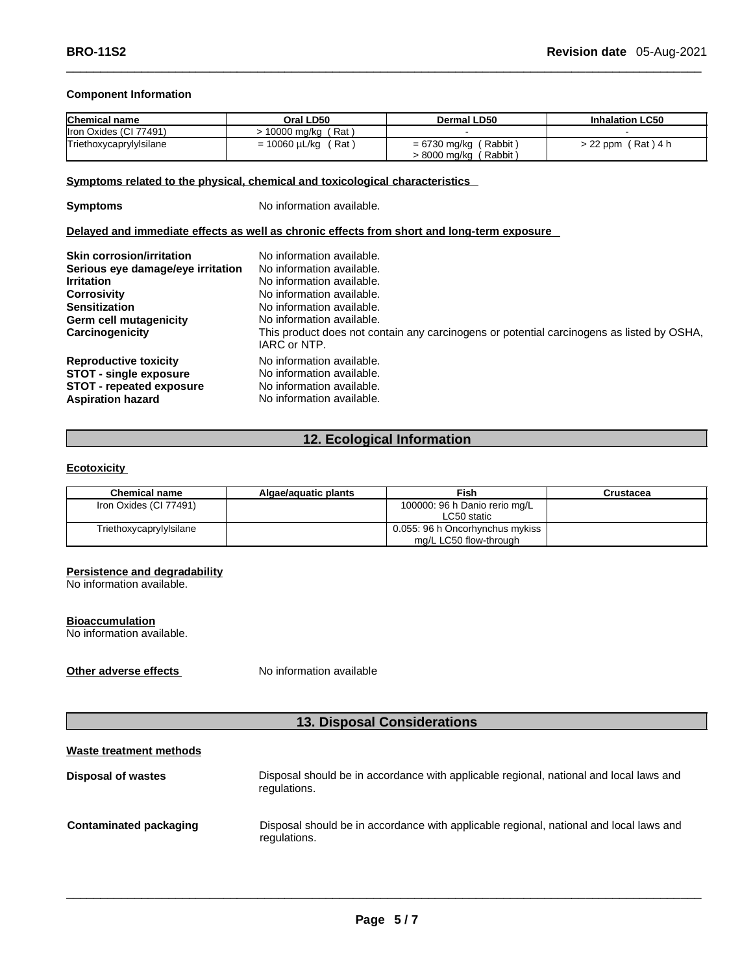#### **Component Information**

| <b>Chemical name</b>    | Oral LD50                | Dermal LD50                                                  | <b>Inhalation LC50</b> |
|-------------------------|--------------------------|--------------------------------------------------------------|------------------------|
| Iron Oxides (CI 77491)  | (Rat)<br>10000 ma/ka     |                                                              |                        |
| Triethoxycaprylylsilane | = 10060 µL/kg<br>′ Rat ` | $= 6730$ mg/kg (Rabbit)<br>$> 8000$ mg/kg $\ell$<br>(Rabbit) | $> 22$ ppm (Rat) 4 h   |

 $\Box$ 

#### **Symptoms related to the physical, chemical and toxicological characteristics**

**Symptoms** No information available.

#### **Delayed and immediate effects as well as chronic effects from short and long-term exposure**

| <b>Skin corrosion/irritation</b><br>Serious eye damage/eye irritation<br><b>Irritation</b><br><b>Corrosivity</b><br><b>Sensitization</b><br>Germ cell mutagenicity<br>Carcinogenicity | No information available.<br>No information available.<br>No information available.<br>No information available.<br>No information available.<br>No information available.<br>This product does not contain any carcinogens or potential carcinogens as listed by OSHA,<br>IARC or NTP. |
|---------------------------------------------------------------------------------------------------------------------------------------------------------------------------------------|-----------------------------------------------------------------------------------------------------------------------------------------------------------------------------------------------------------------------------------------------------------------------------------------|
| <b>Reproductive toxicity</b>                                                                                                                                                          | No information available.                                                                                                                                                                                                                                                               |
| <b>STOT - single exposure</b>                                                                                                                                                         | No information available.                                                                                                                                                                                                                                                               |
| <b>STOT - repeated exposure</b>                                                                                                                                                       | No information available.                                                                                                                                                                                                                                                               |
| <b>Aspiration hazard</b>                                                                                                                                                              | No information available.                                                                                                                                                                                                                                                               |

### **12. Ecological Information**

### **Ecotoxicity**

| <b>Chemical name</b>    | Algae/aquatic plants | Fish                                                      | Crustacea |
|-------------------------|----------------------|-----------------------------------------------------------|-----------|
| Iron Oxides (CI 77491)  |                      | 100000: 96 h Danio rerio mg/L<br>LC50 static              |           |
| Triethoxycaprylylsilane |                      | 0.055: 96 h Oncorhynchus mykiss<br>mg/L LC50 flow-through |           |

#### **Persistence and degradability**

No information available.

#### **Bioaccumulation**

No information available.

**Other adverse effects** No information available

## **13. Disposal Considerations**

### **Waste treatment methods**

| Disposal of wastes     | Disposal should be in accordance with applicable regional, national and local laws and<br>regulations. |
|------------------------|--------------------------------------------------------------------------------------------------------|
| Contaminated packaging | Disposal should be in accordance with applicable regional, national and local laws and<br>regulations. |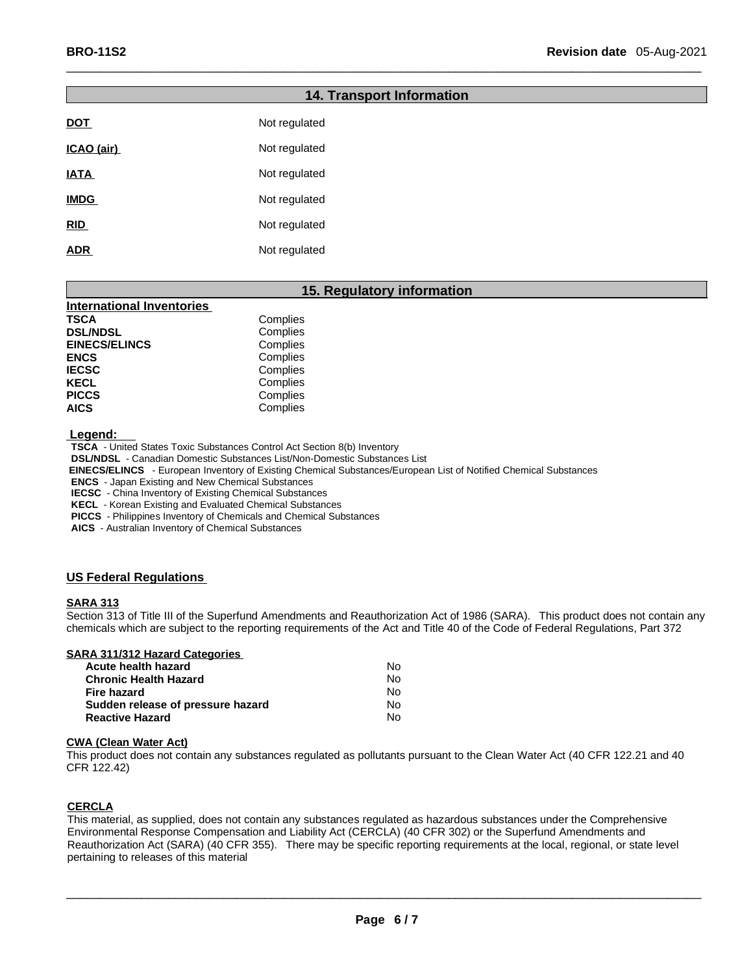## **14. Transport Information DOT** Not regulated **ICAO (air)** Not regulated **IATA** Not regulated **IMDG** Not regulated **RID** Not regulated **ADR** Not regulated

### **15. Regulatory information**

 $\Box$ 

| <b>International Inventories</b> |          |
|----------------------------------|----------|
| TSCA                             | Complies |
| <b>DSL/NDSL</b>                  | Complies |
| <b>EINECS/ELINCS</b>             | Complies |
| <b>ENCS</b>                      | Complies |
| <b>IECSC</b>                     | Complies |
| <b>KECL</b>                      | Complies |
| <b>PICCS</b>                     | Complies |
| <b>AICS</b>                      | Complies |

 **Legend:**

 **TSCA** - United States Toxic Substances Control Act Section 8(b) Inventory

 **DSL/NDSL** - Canadian Domestic Substances List/Non-Domestic Substances List

 **EINECS/ELINCS** - European Inventory of Existing Chemical Substances/European List of Notified Chemical Substances

 **ENCS** - Japan Existing and New Chemical Substances

**IECSC** - China Inventory of Existing Chemical Substances

 **KECL** - Korean Existing and Evaluated Chemical Substances

 **PICCS** - Philippines Inventory of Chemicals and Chemical Substances

 **AICS** - Australian Inventory of Chemical Substances

### **US Federal Regulations**

#### **SARA 313**

Section 313 of Title III of the Superfund Amendments and Reauthorization Act of 1986 (SARA). This product does not contain any chemicals which are subject to the reporting requirements of the Act and Title 40 of the Code of Federal Regulations, Part 372

#### **SARA 311/312 Hazard Categories**

| Acute health hazard               | N٥ |
|-----------------------------------|----|
| Chronic Health Hazard             | N٥ |
| Fire hazard                       | N٥ |
| Sudden release of pressure hazard | N٥ |
| Reactive Hazard                   | N٥ |

#### **CWA (Clean Water Act)**

This product does not contain any substances regulated as pollutants pursuant to the Clean Water Act (40 CFR 122.21 and 40 CFR 122.42)

### **CERCLA**

This material, as supplied, does not contain any substances regulated as hazardous substances under the Comprehensive Environmental Response Compensation and Liability Act (CERCLA) (40 CFR 302) or the Superfund Amendments and Reauthorization Act (SARA) (40 CFR 355). There may be specific reporting requirements at the local, regional, or state level pertaining to releases of this material